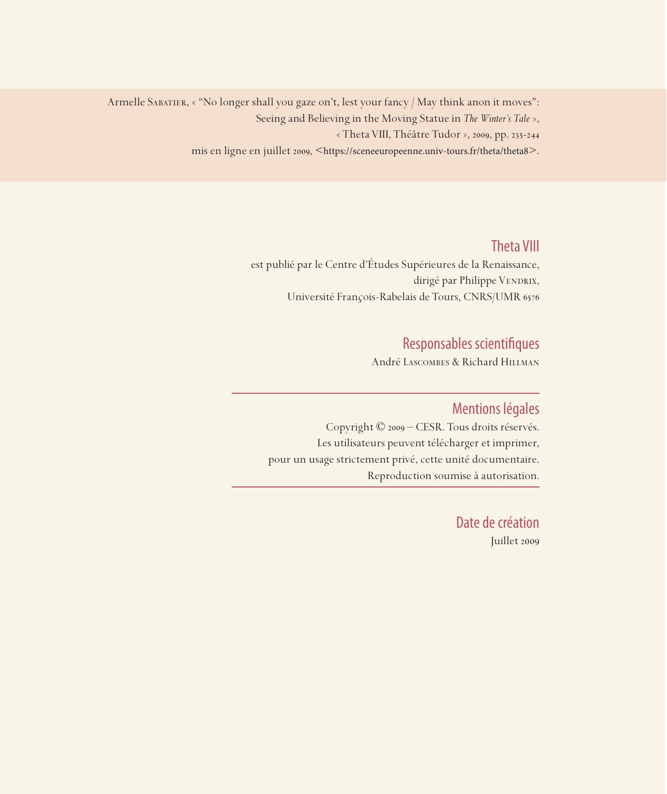Armelle SABATIER, « "No longer shall you gaze on't, lest your fancy / May think anon it moves": Seeing and Believing in the Moving Statue in *The Winter's Tale* », « Theta VIII, Théâtre Tudor », 2009, pp. 235-244 mis en ligne en juillet 2009, <https://sceneeuropeenne.univ-tours.fr/theta/theta8>.

## Theta VIII

est publié par le Centre d'Études Supérieures de la Renaissance, dirigé par Philippe VENDRIX, Université François-Rabelais de Tours, CNRS/UMR 6576

# Responsables scientifiques

André Lascombes & Richard Hillman

### Mentions légales

Copyright © 2009 – CESR. Tous droits réservés. Les utilisateurs peuvent télécharger et imprimer, pour un usage strictement privé, cette unité documentaire. Reproduction soumise à autorisation.

> Date de création Juillet 2009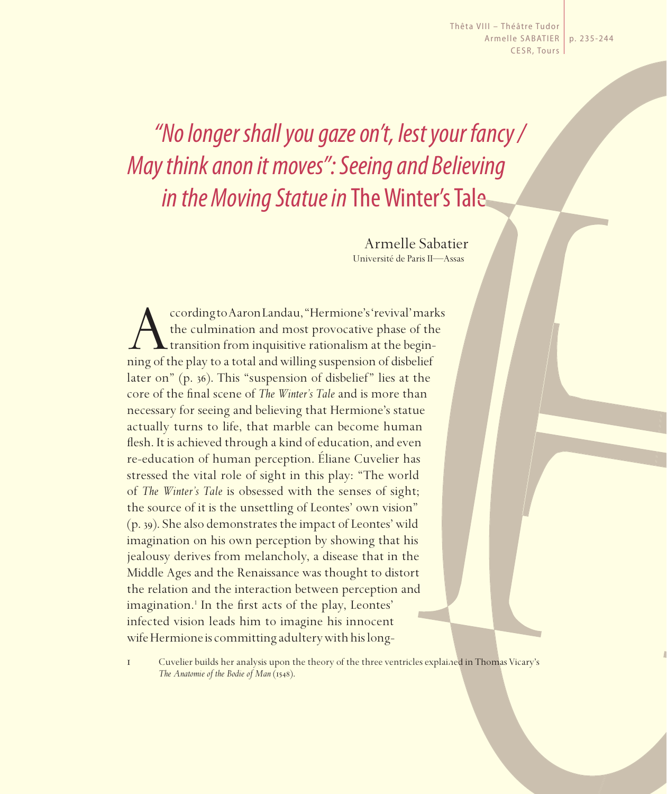Thêta VIII – Théâtre Tudor Armelle SABATIER | p. 235-244 CESR, Tours

# *"No longer shall you gaze on't, lest your fancy / May think anon it moves": Seeing and Believing in the Moving Statue in* The Winter's Tale

Armelle Sabatier Université de Paris II—Assas

ccording to Aaron Landau, "Hermione's 'revival' marks<br>the culmination and most provocative phase of the<br>transition from inquisitive rationalism at the begin-<br>ning of the play to a total and willing suspension of disbelief the culmination and most provocative phase of the transition from inquisitive rationalism at the beginning of the play to a total and willing suspension of disbelief later on" (p. 36). This "suspension of disbelief" lies at the core of the final scene of *The Winter's Tale* and is more than necessary for seeing and believing that Hermione's statue actually turns to life, that marble can become human flesh. It is achieved through a kind of education, and even re-education of human perception. Éliane Cuvelier has stressed the vital role of sight in this play: "The world of *The Winter's Tale* is obsessed with the senses of sight; the source of it is the unsettling of Leontes' own vision" (p. 39). She also demonstrates the impact of Leontes' wild imagination on his own perception by showing that his jealousy derives from melancholy, a disease that in the Middle Ages and the Renaissance was thought to distort the relation and the interaction between perception and imagination.<sup>1</sup> In the first acts of the play, Leontes' infected vision leads him to imagine his innocent wife Hermione is committing adultery with his long-

1 Cuvelier builds her analysis upon the theory of the three ventricles explained in Thomas Vicary's *The Anatomie of the Bodie of Man* (1548).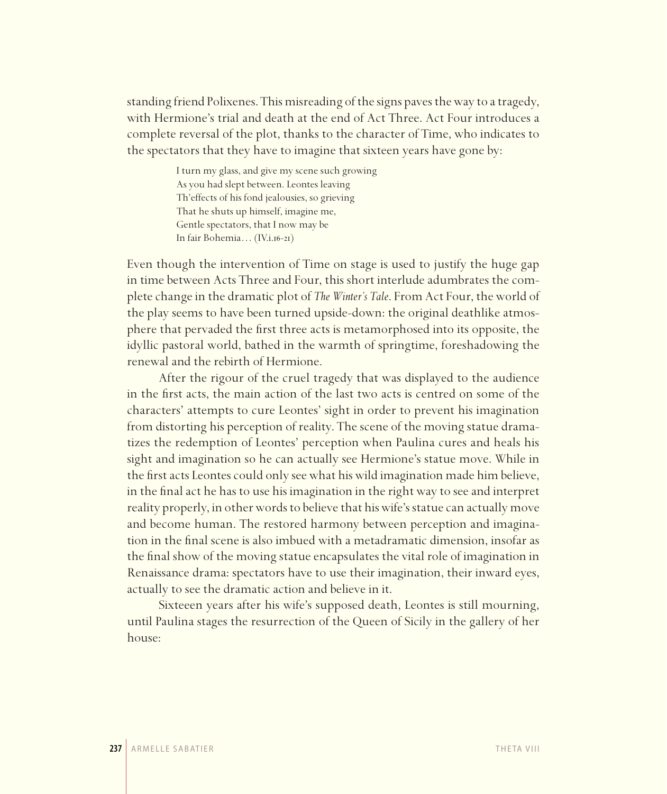standing friend Polixenes. This misreading of the signs paves the way to a tragedy, with Hermione's trial and death at the end of Act Three. Act Four introduces a complete reversal of the plot, thanks to the character of Time, who indicates to the spectators that they have to imagine that sixteen years have gone by:

> I turn my glass, and give my scene such growing As you had slept between. Leontes leaving Th'effects of his fond jealousies, so grieving That he shuts up himself, imagine me, Gentle spectators, that I now may be In fair Bohemia… (IV.i.16-21)

Even though the intervention of Time on stage is used to justify the huge gap in time between Acts Three and Four, this short interlude adumbrates the complete change in the dramatic plot of *The Winter's Tale*. From Act Four, the world of the play seems to have been turned upside-down: the original deathlike atmosphere that pervaded the first three acts is metamorphosed into its opposite, the idyllic pastoral world, bathed in the warmth of springtime, foreshadowing the renewal and the rebirth of Hermione.

After the rigour of the cruel tragedy that was displayed to the audience in the first acts, the main action of the last two acts is centred on some of the characters' attempts to cure Leontes' sight in order to prevent his imagination from distorting his perception of reality. The scene of the moving statue dramatizes the redemption of Leontes' perception when Paulina cures and heals his sight and imagination so he can actually see Hermione's statue move. While in the first acts Leontes could only see what his wild imagination made him believe, in the final act he has to use his imagination in the right way to see and interpret reality properly, in other words to believe that his wife's statue can actually move and become human. The restored harmony between perception and imagination in the final scene is also imbued with a metadramatic dimension, insofar as the final show of the moving statue encapsulates the vital role of imagination in Renaissance drama: spectators have to use their imagination, their inward eyes, actually to see the dramatic action and believe in it.

Sixteeen years after his wife's supposed death, Leontes is still mourning, until Paulina stages the resurrection of the Queen of Sicily in the gallery of her house: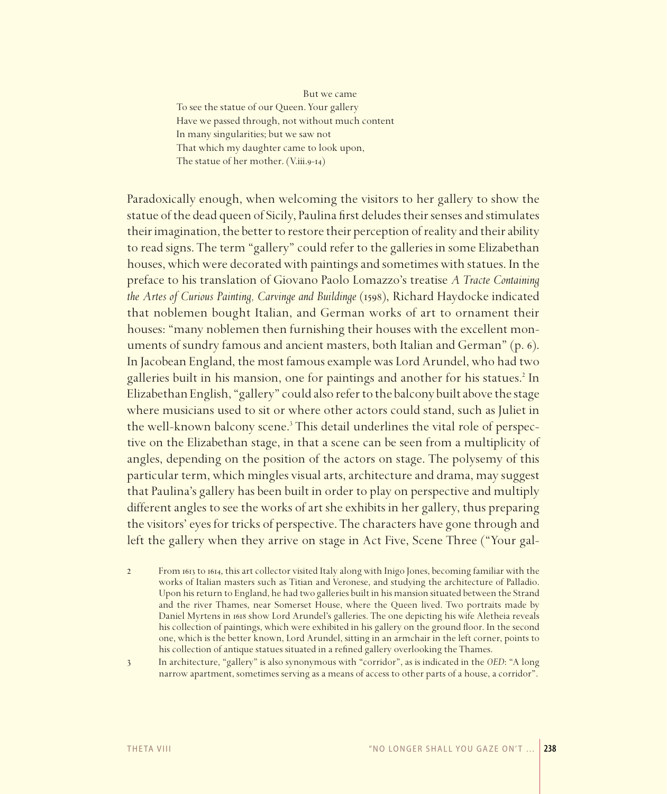But we came To see the statue of our Queen. Your gallery Have we passed through, not without much content In many singularities; but we saw not That which my daughter came to look upon, The statue of her mother. (V.iii.9-14)

Paradoxically enough, when welcoming the visitors to her gallery to show the statue of the dead queen of Sicily, Paulina first deludes their senses and stimulates their imagination, the better to restore their perception of reality and their ability to read signs. The term "gallery" could refer to the galleries in some Elizabethan houses, which were decorated with paintings and sometimes with statues. In the preface to his translation of Giovano Paolo Lomazzo's treatise A Tracte Containing *the Artes of Curious Painting, Carvinge and Buildinge* (1598), Richard Haydocke indicated that noblemen bought Italian, and German works of art to ornament their houses: "many noblemen then furnishing their houses with the excellent monuments of sundry famous and ancient masters, both Italian and German" (p. 6). In Jacobean England, the most famous example was Lord Arundel, who had two galleries built in his mansion, one for paintings and another for his statues.<sup>2</sup> In Elizabethan English, "gallery" could also refer to the balcony built above the stage where musicians used to sit or where other actors could stand, such as Juliet in the well-known balcony scene.<sup>3</sup> This detail underlines the vital role of perspective on the Elizabethan stage, in that a scene can be seen from a multiplicity of angles, depending on the position of the actors on stage. The polysemy of this particular term, which mingles visual arts, architecture and drama, may suggest that Paulina's gallery has been built in order to play on perspective and multiply different angles to see the works of art she exhibits in her gallery, thus preparing the visitors' eyes for tricks of perspective. The characters have gone through and left the gallery when they arrive on stage in Act Five, Scene Three ("Your gal-

 $\overline{2}$ From 1613 to 1614, this art collector visited Italy along with Inigo Jones, becoming familiar with the works of Italian masters such as Titian and Veronese, and studying the architecture of Palladio. Upon his return to England, he had two galleries built in his mansion situated between the Strand and the river Thames, near Somerset House, where the Queen lived. Two portraits made by Daniel Myrtens in 1618 show Lord Arundel's galleries. The one depicting his wife Aletheia reveals his collection of paintings, which were exhibited in his gallery on the ground floor. In the second one, which is the better known, Lord Arundel, sitting in an armchair in the left corner, points to his collection of antique statues situated in a refined gallery overlooking the Thames.

 $\mathfrak{Z}$ 

In architecture, "gallery" is also synonymous with "corridor", as is indicated in the OED: "A long narrow apartment, sometimes serving as a means of access to other parts of a house, a corridor".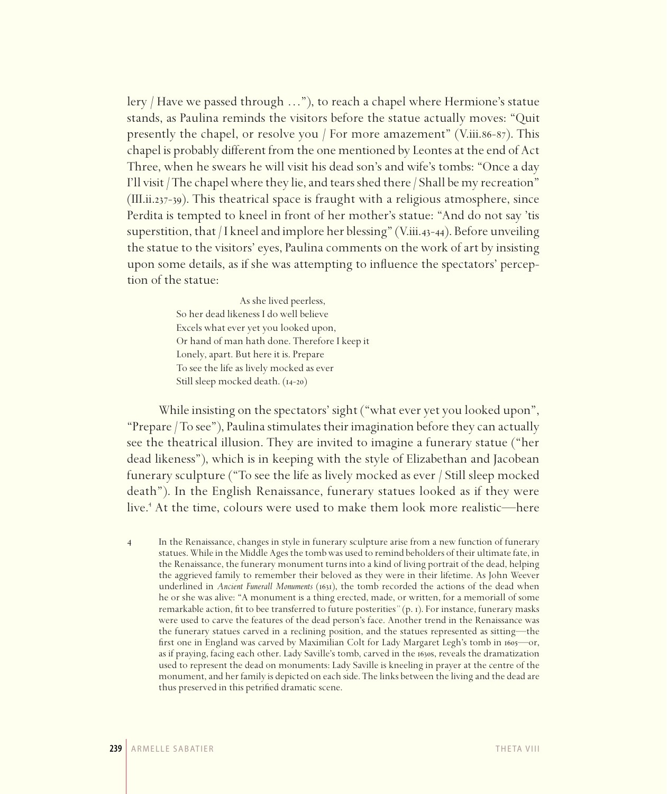lery / Have we passed through …"), to reach a chapel where Hermione's statue stands, as Paulina reminds the visitors before the statue actually moves: "Quit presently the chapel, or resolve you / For more amazement" (V.iii.86-87). This chapel is probably different from the one mentioned by Leontes at the end of Act Three, when he swears he will visit his dead son's and wife's tombs: "Once a day I'll visit/ The chapel where they lie, and tears shed there/ Shall be my recreation" (III.ii.237-39). This theatrical space is fraught with a religious atmosphere, since Perdita is tempted to kneel in front of her mother's statue: "And do not say 'tis superstition, that / I kneel and implore her blessing" (V.iii.43-44). Before unveiling the statue to the visitors' eyes, Paulina comments on the work of art by insisting upon some details, as if she was attempting to influence the spectators' perception of the statue:

> As she lived peerless, So her dead likeness I do well believe Excels what ever yet you looked upon, Or hand of man hath done. Therefore I keep it Lonely, apart. But here it is. Prepare To see the life as lively mocked as ever Still sleep mocked death. (14-20)

While insisting on the spectators' sight ("what ever yet you looked upon", "Prepare/ To see"), Paulina stimulates their imagination before they can actually see the theatrical illusion. They are invited to imagine a funerary statue ("her dead likeness"), which is in keeping with the style of Elizabethan and Jacobean funerary sculpture ("To see the life as lively mocked as ever / Still sleep mocked death"). In the English Renaissance, funerary statues looked as if they were live.4 At the time, colours were used to make them look more realistic—here

4 In the Renaissance, changes in style in funerary sculpture arise from a new function of funerary statues. While in the Middle Ages the tomb was used to remind beholders of their ultimate fate, in the Renaissance, the funerary monument turns into a kind of living portrait of the dead, helping the aggrieved family to remember their beloved as they were in their lifetime. As John Weever underlined in *Ancient Funerall Monuments* (1631), the tomb recorded the actions of the dead when he or she was alive: "A monument is a thing erected, made, or written, for a memoriall of some remarkable action, fit to bee transferred to future posterities*"* (p. 1). For instance, funerary masks were used to carve the features of the dead person's face. Another trend in the Renaissance was the funerary statues carved in a reclining position, and the statues represented as sitting—the first one in England was carved by Maximilian Colt for Lady Margaret Legh's tomb in 1605—or, as if praying, facing each other. Lady Saville's tomb, carved in the 1630s, reveals the dramatization used to represent the dead on monuments: Lady Saville is kneeling in prayer at the centre of the monument, and her family is depicted on each side. The links between the living and the dead are thus preserved in this petrified dramatic scene.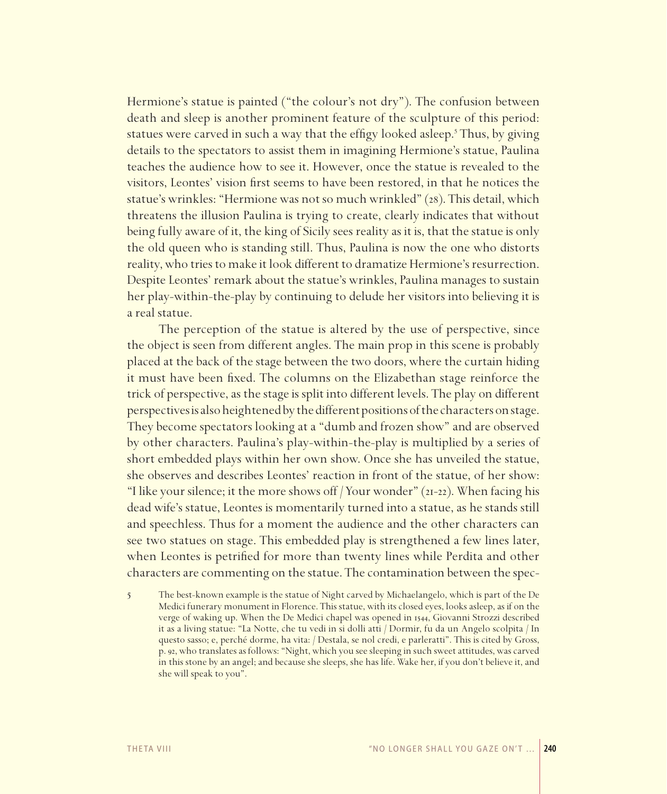Hermione's statue is painted ("the colour's not dry"). The confusion between death and sleep is another prominent feature of the sculpture of this period: statues were carved in such a way that the effigy looked asleep.<sup>5</sup> Thus, by giving details to the spectators to assist them in imagining Hermione's statue, Paulina teaches the audience how to see it. However, once the statue is revealed to the visitors. Leontes' vision first seems to have been restored, in that he notices the statue's wrinkles: "Hermione was not so much wrinkled" (28). This detail, which threatens the illusion Paulina is trying to create, clearly indicates that without being fully aware of it, the king of Sicily sees reality as it is, that the statue is only the old queen who is standing still. Thus, Paulina is now the one who distorts reality, who tries to make it look different to dramatize Hermione's resurrection. Despite Leontes' remark about the statue's wrinkles, Paulina manages to sustain her play-within-the-play by continuing to delude her visitors into believing it is a real statue.

The perception of the statue is altered by the use of perspective, since the object is seen from different angles. The main prop in this scene is probably placed at the back of the stage between the two doors, where the curtain hiding it must have been fixed. The columns on the Elizabethan stage reinforce the trick of perspective, as the stage is split into different levels. The play on different perspectives is also heightened by the different positions of the characters on stage. They become spectators looking at a "dumb and frozen show" and are observed by other characters. Paulina's play-within-the-play is multiplied by a series of short embedded plays within her own show. Once she has unveiled the statue, she observes and describes Leontes' reaction in front of the statue, of her show: "I like your silence; it the more shows off / Your wonder" (21-22). When facing his dead wife's statue, Leontes is momentarily turned into a statue, as he stands still and speechless. Thus for a moment the audience and the other characters can see two statues on stage. This embedded play is strengthened a few lines later, when Leontes is petrified for more than twenty lines while Perdita and other characters are commenting on the statue. The contamination between the spec-

5 The best-known example is the statue of Night carved by Michaelangelo, which is part of the De Medici funerary monument in Florence. This statue, with its closed eyes, looks asleep, as if on the verge of waking up. When the De Medici chapel was opened in 1544, Giovanni Strozzi described it as a living statue: "La Notte, che tu vedi in si dolli atti / Dormir, fu da un Angelo scolpita / In questo sasso; e, perché dorme, ha vita: / Destala, se nol credi, e parleratti". This is cited by Gross, p. 92, who translates as follows: "Night, which you see sleeping in such sweet attitudes, was carved in this stone by an angel; and because she sleeps, she has life. Wake her, if you don't believe it, and she will speak to you".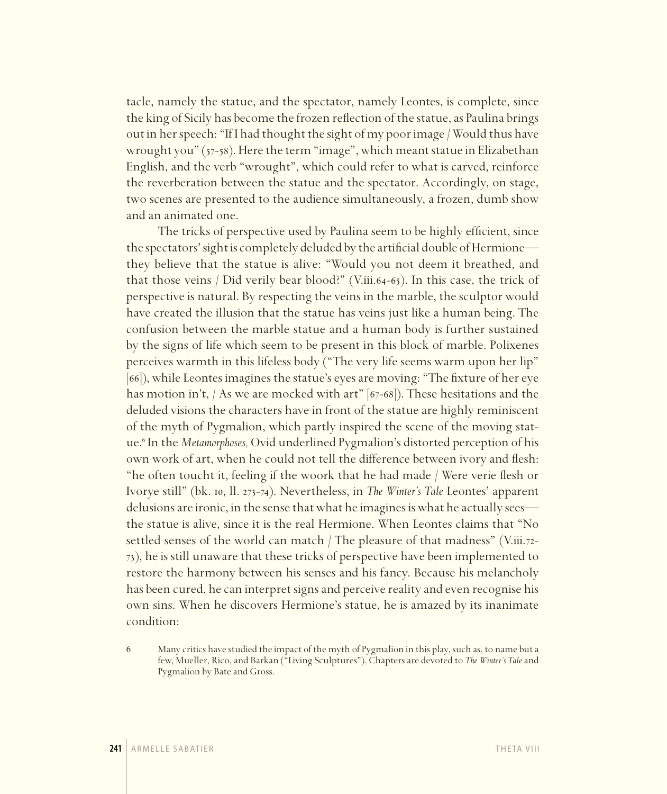tacle, namely the statue, and the spectator, namely Leontes, is complete, since the king of Sicily has become the frozen reflection of the statue, as Paulina brings out in her speech: "If I had thought the sight of my poor image/ Would thus have wrought you" (57-58). Here the term "image", which meant statue in Elizabethan English, and the verb "wrought", which could refer to what is carved, reinforce the reverberation between the statue and the spectator. Accordingly, on stage, two scenes are presented to the audience simultaneously, a frozen, dumb show and an animated one.

The tricks of perspective used by Paulina seem to be highly efficient, since the spectators' sight is completely deluded by the artificial double of Hermione they believe that the statue is alive: "Would you not deem it breathed, and that those veins / Did verily bear blood?" (V.iii.64-65). In this case, the trick of perspective is natural. By respecting the veins in the marble, the sculptor would have created the illusion that the statue has veins just like a human being. The confusion between the marble statue and a human body is further sustained by the signs of life which seem to be present in this block of marble. Polixenes perceives warmth in this lifeless body ("The very life seems warm upon her lip" [66]), while Leontes imagines the statue's eyes are moving: "The fixture of her eye has motion in't, / As we are mocked with art" [67-68]). These hesitations and the deluded visions the characters have in front of the statue are highly reminiscent of the myth of Pygmalion, which partly inspired the scene of the moving statue.6 In the *Metamorphoses,* Ovid underlined Pygmalion's distorted perception of his own work of art, when he could not tell the difference between ivory and flesh: "he often toucht it, feeling if the woork that he had made / Were verie flesh or Ivorye still" (bk. 10, ll. 273-74). Nevertheless, in *The Winter's Tale* Leontes' apparent delusions are ironic, in the sense that what he imagines is what he actually sees the statue is alive, since it is the real Hermione. When Leontes claims that "No settled senses of the world can match / The pleasure of that madness" (V.iii.72-73), he is still unaware that these tricks of perspective have been implemented to restore the harmony between his senses and his fancy. Because his melancholy has been cured, he can interpret signs and perceive reality and even recognise his own sins. When he discovers Hermione's statue, he is amazed by its inanimate condition:

<sup>6</sup> Many critics have studied the impact of the myth of Pygmalion in this play, such as, to name but a few, Mueller, Rico, and Barkan ("Living Sculptures"). Chapters are devoted to *The Winter's Tale* and Pygmalion by Bate and Gross.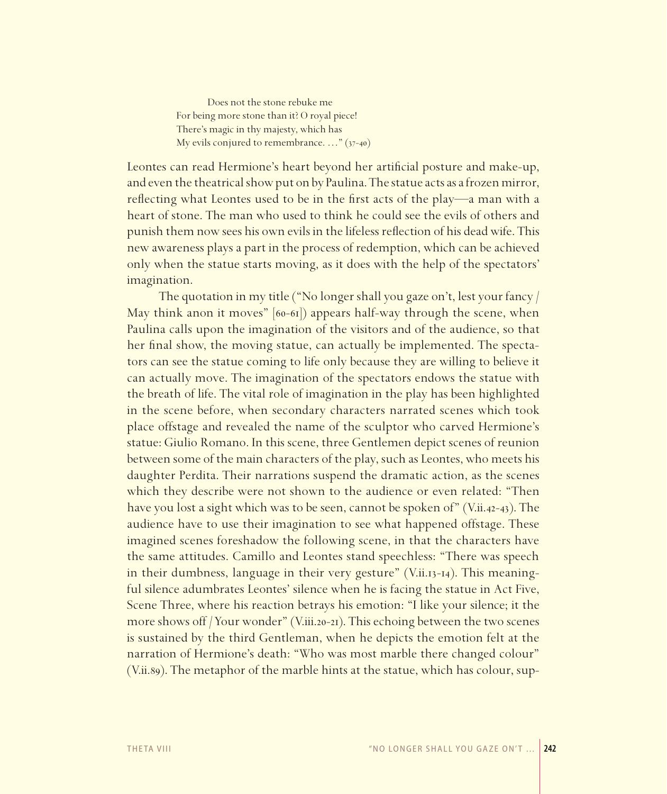Does not the stone rebuke me For being more stone than it? O royal piece! There's magic in thy majesty, which has My evils conjured to remembrance. …" (37-40)

Leontes can read Hermione's heart beyond her artificial posture and make-up, and even the theatrical show put on by Paulina. The statue acts as a frozen mirror, reflecting what Leontes used to be in the first acts of the play—a man with a heart of stone. The man who used to think he could see the evils of others and punish them now sees his own evils in the lifeless reflection of his dead wife. This new awareness plays a part in the process of redemption, which can be achieved only when the statue starts moving, as it does with the help of the spectators' imagination.

The quotation in my title ("No longer shall you gaze on't, lest your fancy / May think anon it moves" [60-61]) appears half-way through the scene, when Paulina calls upon the imagination of the visitors and of the audience, so that her final show, the moving statue, can actually be implemented. The spectators can see the statue coming to life only because they are willing to believe it can actually move. The imagination of the spectators endows the statue with the breath of life. The vital role of imagination in the play has been highlighted in the scene before, when secondary characters narrated scenes which took place offstage and revealed the name of the sculptor who carved Hermione's statue: Giulio Romano. In this scene, three Gentlemen depict scenes of reunion between some of the main characters of the play, such as Leontes, who meets his daughter Perdita. Their narrations suspend the dramatic action, as the scenes which they describe were not shown to the audience or even related: "Then have you lost a sight which was to be seen, cannot be spoken of" (V.ii.42-43). The audience have to use their imagination to see what happened offstage. These imagined scenes foreshadow the following scene, in that the characters have the same attitudes. Camillo and Leontes stand speechless: "There was speech in their dumbness, language in their very gesture" (V.ii.13-14). This meaningful silence adumbrates Leontes' silence when he is facing the statue in Act Five, Scene Three, where his reaction betrays his emotion: "I like your silence; it the more shows off / Your wonder" (V.iii.20-21). This echoing between the two scenes is sustained by the third Gentleman, when he depicts the emotion felt at the narration of Hermione's death: "Who was most marble there changed colour" (V.ii.89). The metaphor of the marble hints at the statue, which has colour, sup-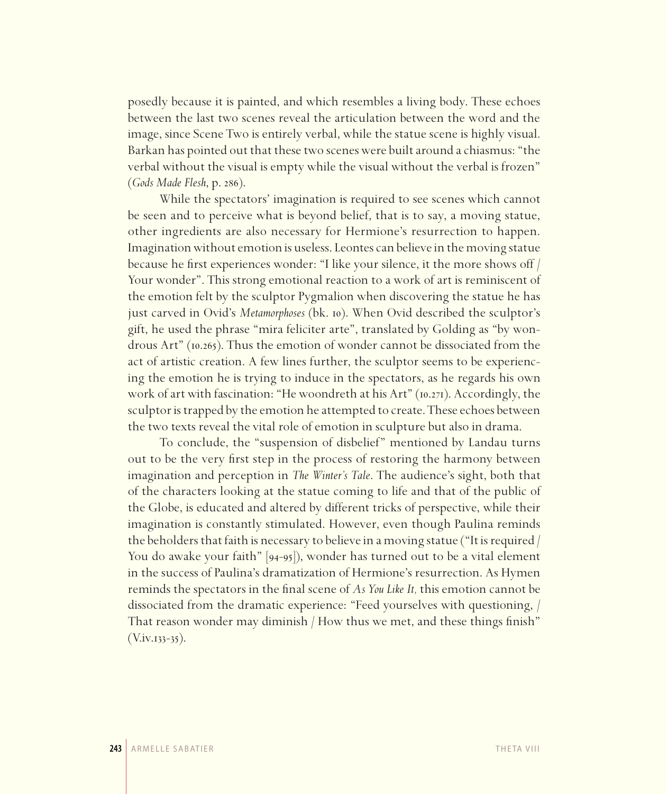posedly because it is painted, and which resembles a living body. These echoes between the last two scenes reveal the articulation between the word and the image, since Scene Two is entirely verbal, while the statue scene is highly visual. Barkan has pointed out that these two scenes were built around a chiasmus: "the verbal without the visual is empty while the visual without the verbal is frozen" (*Gods Made Flesh*, p. 286).

While the spectators' imagination is required to see scenes which cannot be seen and to perceive what is beyond belief, that is to say, a moving statue, other ingredients are also necessary for Hermione's resurrection to happen. Imagination without emotion is useless. Leontes can believe in the moving statue because he first experiences wonder: "I like your silence, it the more shows off / Your wonder". This strong emotional reaction to a work of art is reminiscent of the emotion felt by the sculptor Pygmalion when discovering the statue he has just carved in Ovid's *Metamorphoses* (bk. 10). When Ovid described the sculptor's gift, he used the phrase "mira feliciter arte", translated by Golding as "by wondrous Art" (10.265). Thus the emotion of wonder cannot be dissociated from the act of artistic creation. A few lines further, the sculptor seems to be experiencing the emotion he is trying to induce in the spectators, as he regards his own work of art with fascination: "He woondreth at his Art" (10.271). Accordingly, the sculptor is trapped by the emotion he attempted to create. These echoes between the two texts reveal the vital role of emotion in sculpture but also in drama.

To conclude, the "suspension of disbelief" mentioned by Landau turns out to be the very first step in the process of restoring the harmony between imagination and perception in *The Winter's Tale*. The audience's sight, both that of the characters looking at the statue coming to life and that of the public of the Globe, is educated and altered by different tricks of perspective, while their imagination is constantly stimulated. However, even though Paulina reminds the beholders that faith is necessary to believe in a moving statue ("It is required / You do awake your faith" [94-95]), wonder has turned out to be a vital element in the success of Paulina's dramatization of Hermione's resurrection. As Hymen reminds the spectators in the final scene of *As You Like It,* this emotion cannot be dissociated from the dramatic experience: "Feed yourselves with questioning, / That reason wonder may diminish / How thus we met, and these things finish"  $(V.$ iv.133–35).